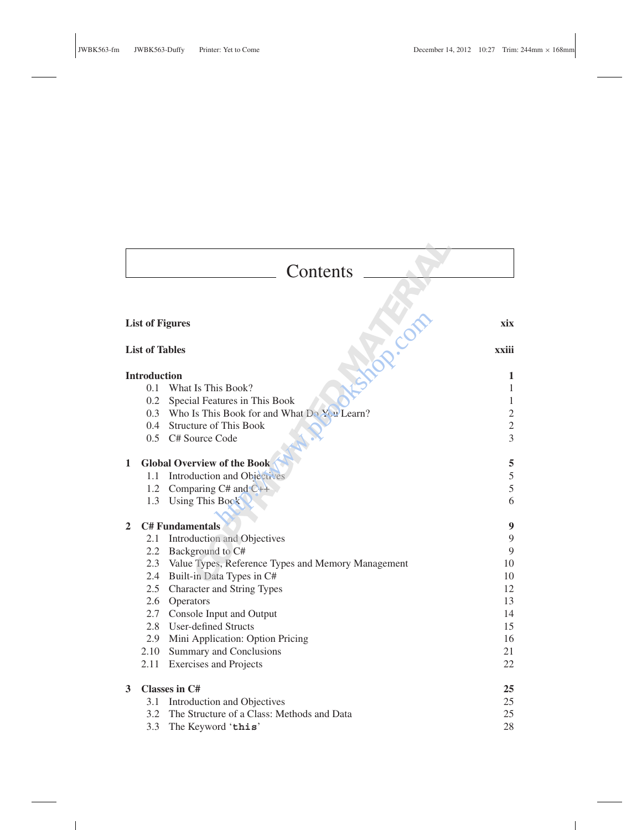٦

 $\mathbb{R}^2$ 

|   |                       | Contents                                               |                |
|---|-----------------------|--------------------------------------------------------|----------------|
|   |                       |                                                        |                |
|   |                       | <b>List of Figures</b>                                 | xix            |
|   |                       |                                                        |                |
|   | <b>List of Tables</b> |                                                        | xxiii          |
|   | <b>Introduction</b>   |                                                        | 1              |
|   | 0.1                   | What Is This Book?                                     | $\mathbf{1}$   |
|   | 0.2                   | Special Features in This Book                          | 1              |
|   |                       | 0.3 Who Is This Book for and What Do You Learn?        | $\overline{c}$ |
|   |                       | 0.4 Structure of This Book                             | $\overline{2}$ |
|   |                       | 0.5 C# Source Code                                     | $\overline{3}$ |
| 1 |                       | <b>Global Overview of the Book</b>                     | 5              |
|   | 1.1                   | Introduction and Objecures                             | 5              |
|   | 1.2                   | Comparing $C#$ and $C++$                               | 5              |
|   |                       | 1.3 Using This Book                                    | 6              |
| 2 |                       | <b>C# Fundamentals</b>                                 | 9              |
|   | 2.1                   | Introduction and Objectives                            | 9              |
|   |                       | 2.2 Background to C#                                   | 9              |
|   |                       | 2.3 Value Types, Reference Types and Memory Management | 10             |
|   |                       | 2.4 Built-in Data Types in C#                          | 10             |
|   |                       | 2.5 Character and String Types                         | 12             |
|   |                       | 2.6 Operators                                          | 13             |
|   |                       | 2.7 Console Input and Output                           | 14             |
|   |                       | 2.8 User-defined Structs                               | 15             |
|   |                       | 2.9 Mini Application: Option Pricing                   | 16             |
|   | 2.10                  | Summary and Conclusions                                | 21             |
|   | 2.11                  | <b>Exercises and Projects</b>                          | 22             |
| 3 |                       | <b>Classes in C#</b>                                   | 25             |
|   | 3.1                   | Introduction and Objectives                            | 25             |
|   | 3.2                   | The Structure of a Class: Methods and Data             | 25             |
|   | 3.3                   | The Keyword 'this'                                     | 28             |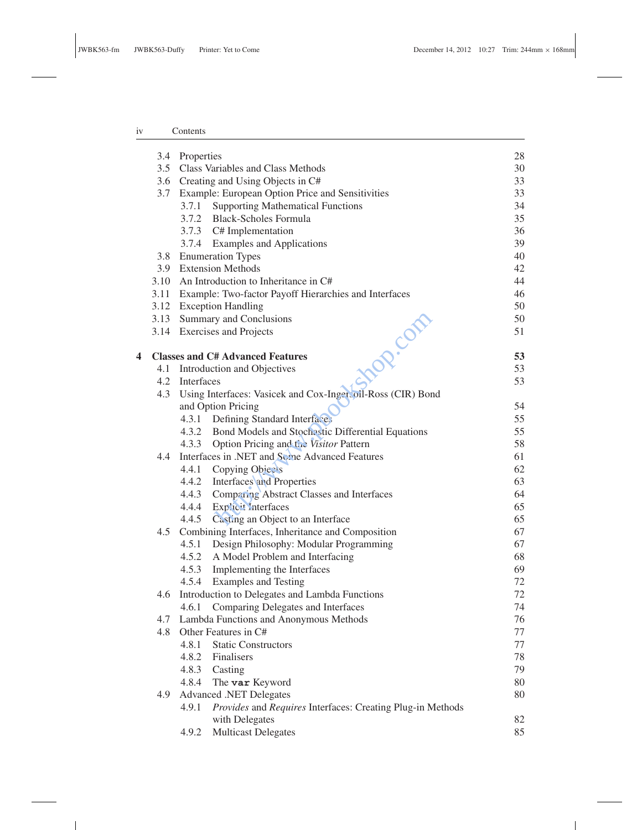## iv Contents

 $\sim 10^{11}$ 

|   |     | 3.4 Properties                                                      | 28 |
|---|-----|---------------------------------------------------------------------|----|
|   |     | 3.5 Class Variables and Class Methods                               | 30 |
|   |     | 3.6 Creating and Using Objects in C#                                | 33 |
|   |     | 3.7 Example: European Option Price and Sensitivities                | 33 |
|   |     | 3.7.1 Supporting Mathematical Functions                             | 34 |
|   |     | 3.7.2 Black-Scholes Formula                                         | 35 |
|   |     | 3.7.3 C# Implementation                                             | 36 |
|   |     | 3.7.4 Examples and Applications                                     | 39 |
|   |     | 3.8 Enumeration Types                                               | 40 |
|   |     | 3.9 Extension Methods                                               | 42 |
|   |     | 3.10 An Introduction to Inheritance in C#                           | 44 |
|   |     | 3.11 Example: Two-factor Payoff Hierarchies and Interfaces          | 46 |
|   |     | 3.12 Exception Handling                                             | 50 |
|   |     | 3.13 Summary and Conclusions                                        | 50 |
|   |     | <b>POR.COM</b><br>3.14 Exercises and Projects                       | 51 |
| 4 |     | <b>Classes and C# Advanced Features</b>                             | 53 |
|   |     | 4.1 Introduction and Objectives                                     | 53 |
|   | 4.2 | Interfaces                                                          | 53 |
|   | 4.3 | Using Interfaces: Vasicek and Cox-Ingercoil-Ross (CIR) Bond         |    |
|   |     | and Option Pricing                                                  | 54 |
|   |     | 4.3.1 Defining Standard Interfaces                                  | 55 |
|   |     | 4.3.2 Bond Models and Stochestic Differential Equations             | 55 |
|   |     | 4.3.3 Option Pricing and the Visitor Pattern                        | 58 |
|   | 4.4 | Interfaces in .NET and Some Advanced Features                       | 61 |
|   |     | 4.4.1 Copying Objects                                               | 62 |
|   |     | 4.4.2 Interfaces and Properties                                     | 63 |
|   |     | 4.4.3 Comparing Abstract Classes and Interfaces                     | 64 |
|   |     | 4.4.4 Explicit Interfaces                                           | 65 |
|   |     | 4.4.5 Casting an Object to an Interface                             | 65 |
|   | 4.5 | Combining Interfaces, Inheritance and Composition                   | 67 |
|   |     | 4.5.1 Design Philosophy: Modular Programming                        | 67 |
|   |     | 4.5.2 A Model Problem and Interfacing                               | 68 |
|   |     | 4.5.3 Implementing the Interfaces                                   | 69 |
|   |     | 4.5.4 Examples and Testing                                          | 72 |
|   | 4.6 | Introduction to Delegates and Lambda Functions                      | 72 |
|   |     | Comparing Delegates and Interfaces<br>4.6.1                         | 74 |
|   |     | 4.7 Lambda Functions and Anonymous Methods                          | 76 |
|   | 4.8 | Other Features in C#                                                | 77 |
|   |     | 4.8.1<br><b>Static Constructors</b>                                 | 77 |
|   |     | 4.8.2<br>Finalisers                                                 | 78 |
|   |     | 4.8.3 Casting                                                       | 79 |
|   |     | 4.8.4 The var Keyword                                               | 80 |
|   | 4.9 | <b>Advanced .NET Delegates</b>                                      | 80 |
|   |     | Provides and Requires Interfaces: Creating Plug-in Methods<br>4.9.1 |    |
|   |     | with Delegates                                                      | 82 |
|   |     | <b>Multicast Delegates</b><br>4.9.2                                 | 85 |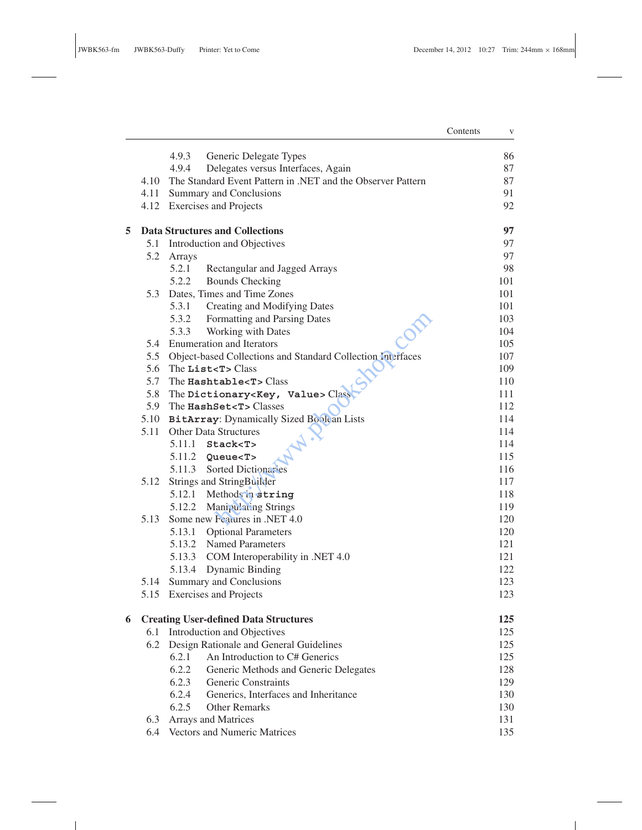|   |      |                                                                  | Contents | $\mathbf V$ |
|---|------|------------------------------------------------------------------|----------|-------------|
|   |      | 4.9.3<br>Generic Delegate Types                                  |          | 86          |
|   |      | 4.9.4<br>Delegates versus Interfaces, Again                      |          | 87          |
|   |      | 4.10 The Standard Event Pattern in .NET and the Observer Pattern |          | 87          |
|   |      | 4.11 Summary and Conclusions                                     |          | 91          |
|   |      | 4.12 Exercises and Projects                                      |          | 92          |
| 5 |      | <b>Data Structures and Collections</b>                           |          | 97          |
|   |      | 5.1 Introduction and Objectives                                  |          | 97          |
|   | 5.2  | Arrays                                                           |          | 97          |
|   |      | 5.2.1<br>Rectangular and Jagged Arrays                           |          | 98          |
|   |      | 5.2.2<br><b>Bounds Checking</b>                                  |          | 101         |
|   | 5.3  | Dates, Times and Time Zones                                      |          | 101         |
|   |      | 5.3.1<br>Creating and Modifying Dates                            |          | 101         |
|   |      | 5.3.2<br>Formatting and Parsing Dates                            |          | 103         |
|   |      | 5.3.3<br>Working with Dates                                      |          | 104         |
|   | 5.4  | <b>Enumeration and Iterators</b>                                 |          | 105         |
|   |      | 5.5 Object-based Collections and Standard Collection Interfaces  |          | 107         |
|   | 5.6  | The List <t>Class</t>                                            |          | 109         |
|   | 5.7  | The Hashtable <t>Class</t>                                       |          | 110         |
|   | 5.8  | The Dictionary <key, value=""> Class</key,>                      |          | 111         |
|   | 5.9  | The HashSet <t>Classes</t>                                       |          | 112         |
|   |      | 5.10 BitArray: Dynamically Sized Boolean Lists                   |          | 114         |
|   | 5.11 | <b>Other Data Structures</b>                                     |          | 114         |
|   |      | $5.11.1$ Stack <t></t>                                           |          | 114         |
|   |      | $5.11.2$ Queue <t></t>                                           |          | 115         |
|   |      | 5.11.3 Sorted Dictionaries                                       |          | 116         |
|   | 5.12 | Strings and StringBuilder                                        |          | 117         |
|   |      | 5.12.1 Methods in string                                         |          | 118         |
|   |      | 5.12.2 Manipulating Strings                                      |          | 119         |
|   | 5.13 | Some new Features in .NET 4.0                                    |          | 120         |
|   |      | 5.13.1 Optional Parameters                                       |          | 120         |
|   |      | 5.13.2 Named Parameters                                          |          | 121         |
|   |      | 5.13.3 COM Interoperability in .NET 4.0                          |          | 121         |
|   |      | 5.13.4 Dynamic Binding                                           |          | 122         |
|   | 5.14 | Summary and Conclusions                                          |          | 123         |
|   |      | 5.15 Exercises and Projects                                      |          | 123         |
| 6 |      | <b>Creating User-defined Data Structures</b>                     |          | 125         |
|   | 6.1  | Introduction and Objectives                                      |          | 125         |
|   | 6.2  | Design Rationale and General Guidelines                          |          | 125         |
|   |      | An Introduction to C# Generics<br>6.2.1                          |          | 125         |
|   |      | 6.2.2<br>Generic Methods and Generic Delegates                   |          | 128         |
|   |      | 6.2.3<br>Generic Constraints                                     |          | 129         |
|   |      | 6.2.4<br>Generics, Interfaces and Inheritance                    |          | 130         |
|   |      | 6.2.5<br><b>Other Remarks</b>                                    |          | 130         |
|   | 6.3  | Arrays and Matrices                                              |          | 131         |
|   | 6.4  | Vectors and Numeric Matrices                                     |          | 135         |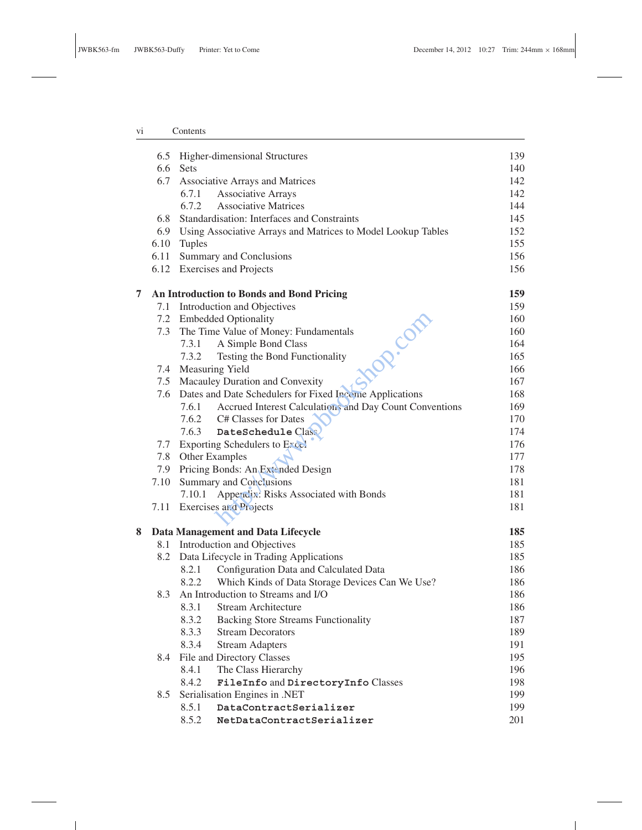## vi Contents

|   |      | 6.5 Higher-dimensional Structures                                | 139 |
|---|------|------------------------------------------------------------------|-----|
|   | 6.6  | <b>Sets</b>                                                      | 140 |
|   | 6.7  | Associative Arrays and Matrices                                  | 142 |
|   |      | <b>Associative Arrays</b><br>6.7.1                               | 142 |
|   |      | 6.7.2<br><b>Associative Matrices</b>                             | 144 |
|   | 6.8  | Standardisation: Interfaces and Constraints                      | 145 |
|   |      | 6.9 Using Associative Arrays and Matrices to Model Lookup Tables | 152 |
|   | 6.10 | Tuples                                                           | 155 |
|   | 6.11 | Summary and Conclusions                                          | 156 |
|   |      | 6.12 Exercises and Projects                                      | 156 |
| 7 |      | An Introduction to Bonds and Bond Pricing                        | 159 |
|   |      | 7.1 Introduction and Objectives                                  | 159 |
|   |      | 7.2 Embedded Optionality<br><b>HOR.</b> COM                      | 160 |
|   | 7.3  | The Time Value of Money: Fundamentals                            | 160 |
|   |      | 7.3.1 A Simple Bond Class                                        | 164 |
|   |      | 7.3.2<br>Testing the Bond Functionality                          | 165 |
|   |      | 7.4 Measuring Yield                                              | 166 |
|   | 7.5  | Macauley Duration and Convexity                                  | 167 |
|   | 7.6  | Dates and Date Schedulers for Fixed Income Applications          | 168 |
|   |      | 7.6.1 Accrued Interest Calculations and Day Count Conventions    | 169 |
|   |      | 7.6.2 C# Classes for Dates                                       | 170 |
|   |      | 7.6.3 DateSchedule Class                                         | 174 |
|   |      | 7.7 Exporting Schedulers to $Expc_{\mathcal{C}}$                 | 176 |
|   |      | 7.8 Other Examples                                               | 177 |
|   | 7.9  | Pricing Bonds: An Extended Design                                | 178 |
|   | 7.10 | Summary and Conclusions                                          | 181 |
|   |      | 7.10.1 Appendix: Risks Associated with Bonds                     | 181 |
|   |      | 7.11 Exercises and Projects                                      | 181 |
|   |      |                                                                  |     |
| 8 |      | Data Management and Data Lifecycle                               | 185 |
|   |      | 8.1 Introduction and Objectives                                  | 185 |
|   |      | 8.2 Data Lifecycle in Trading Applications                       | 185 |
|   |      | Configuration Data and Calculated Data<br>8.2.1                  | 186 |
|   |      | Which Kinds of Data Storage Devices Can We Use?<br>8.2.2         | 186 |
|   | 8.3  | An Introduction to Streams and I/O                               | 186 |
|   |      | 8.3.1<br>Stream Architecture                                     | 186 |
|   |      | 8.3.2 Backing Store Streams Functionality                        | 187 |
|   |      | 8.3.3<br><b>Stream Decorators</b>                                | 189 |
|   |      | 8.3.4<br><b>Stream Adapters</b>                                  | 191 |
|   | 8.4  | File and Directory Classes                                       | 195 |
|   |      | The Class Hierarchy<br>8.4.1                                     | 196 |
|   |      | 8.4.2<br>FileInfo and DirectoryInfo Classes                      | 198 |
|   | 8.5  | Serialisation Engines in .NET                                    | 199 |
|   |      | 8.5.1<br>DataContractSerializer                                  | 199 |
|   |      | 8.5.2<br>NetDataContractSerializer                               | 201 |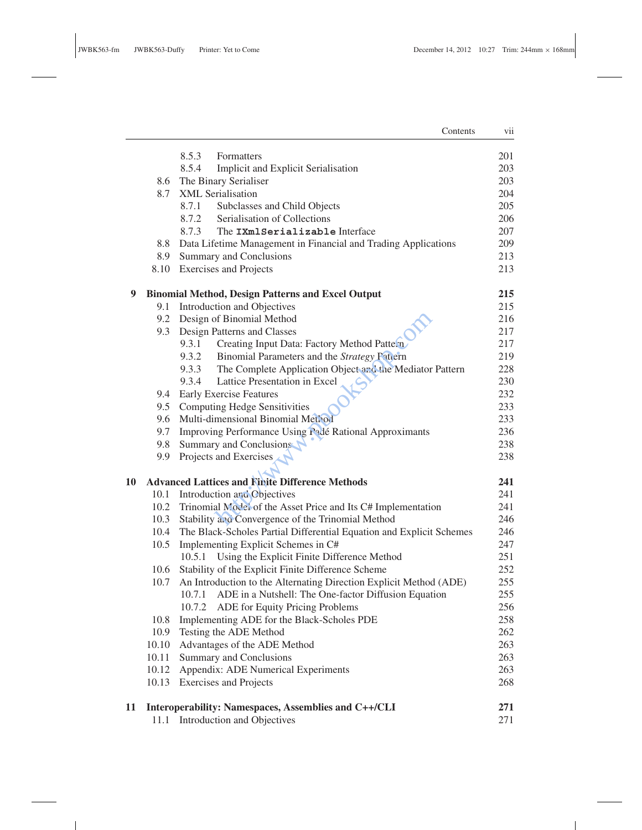$\mathbb{R}^{\mathbb{Z}}$ 

|    |       | Contents                                                             | vii |
|----|-------|----------------------------------------------------------------------|-----|
|    |       | 8.5.3<br>Formatters                                                  | 201 |
|    |       | 8.5.4<br>Implicit and Explicit Serialisation                         | 203 |
|    | 8.6   | The Binary Serialiser                                                | 203 |
|    | 8.7   | XML Serialisation                                                    | 204 |
|    |       | Subclasses and Child Objects<br>8.7.1                                | 205 |
|    |       | 8.7.2<br>Serialisation of Collections                                | 206 |
|    |       | 8.7.3<br>The IXmlSerializable Interface                              | 207 |
|    | 8.8   | Data Lifetime Management in Financial and Trading Applications       | 209 |
|    | 8.9   | <b>Summary and Conclusions</b>                                       | 213 |
|    | 8.10  | <b>Exercises and Projects</b>                                        | 213 |
| 9  |       | <b>Binomial Method, Design Patterns and Excel Output</b>             | 215 |
|    | 9.1   | Introduction and Objectives                                          | 215 |
|    | 9.2   | Design of Binomial Method                                            | 216 |
|    | 9.3   | Design Patterns and Classes                                          | 217 |
|    |       | 9.3.1<br>Creating Input Data: Factory Method Pattern                 | 217 |
|    |       | 9.3.2<br>Binomial Parameters and the Strategy Pattern                | 219 |
|    |       | The Complete Application Object and the Mediator Pattern<br>9.3.3    | 228 |
|    |       | 9.3.4<br>Lattice Presentation in Excel                               | 230 |
|    | 9.4   | <b>Early Exercise Features</b>                                       | 232 |
|    | 9.5   | <b>Computing Hedge Sensitivities</b>                                 | 233 |
|    | 9.6   | Multi-dimensional Binomial Method                                    | 233 |
|    | 9.7   | Improving Performance Using Padé Rational Approximants               | 236 |
|    | 9.8   | Summary and Conclusions                                              | 238 |
|    | 9.9   | Projects and Exercises                                               | 238 |
| 10 |       | <b>Advanced Lattices and Finite Difference Methods</b>               | 241 |
|    | 10.1  | Introduction and Chiectives                                          | 241 |
|    | 10.2  | Trinomial Model of the Asset Price and Its C# Implementation         | 241 |
|    | 10.3  | Stability and Convergence of the Trinomial Method                    | 246 |
|    | 10.4  | The Black-Scholes Partial Differential Equation and Explicit Schemes | 246 |
|    | 10.5  | Implementing Explicit Schemes in C#                                  | 247 |
|    |       | Using the Explicit Finite Difference Method<br>10.5.1                | 251 |
|    | 10.6  | Stability of the Explicit Finite Difference Scheme                   | 252 |
|    | 10.7  | An Introduction to the Alternating Direction Explicit Method (ADE)   | 255 |
|    |       | 10.7.1 ADE in a Nutshell: The One-factor Diffusion Equation          | 255 |
|    |       | 10.7.2 ADE for Equity Pricing Problems                               | 256 |
|    | 10.8  | Implementing ADE for the Black-Scholes PDE                           | 258 |
|    | 10.9  | Testing the ADE Method                                               | 262 |
|    | 10.10 | Advantages of the ADE Method                                         | 263 |
|    | 10.11 | Summary and Conclusions                                              | 263 |
|    | 10.12 | Appendix: ADE Numerical Experiments                                  | 263 |
|    | 10.13 | <b>Exercises and Projects</b>                                        | 268 |
| 11 |       | Interoperability: Namespaces, Assemblies and C++/CLI                 | 271 |
|    |       | 11.1 Introduction and Objectives                                     | 271 |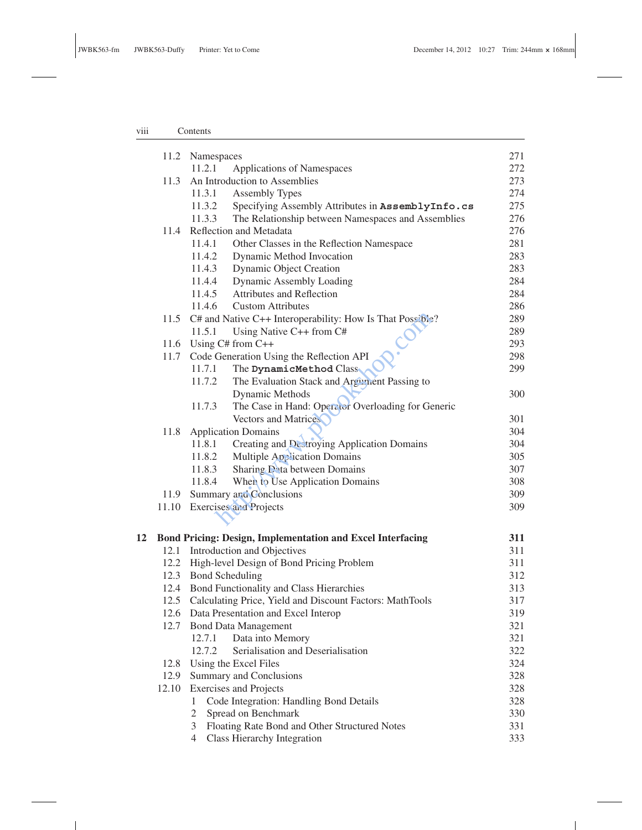## viii Contents

 $\sim 10$ 

|    |       | 11.2 Namespaces                                                   | 271 |
|----|-------|-------------------------------------------------------------------|-----|
|    |       | 11.2.1<br>Applications of Namespaces                              | 272 |
|    | 11.3  | An Introduction to Assemblies                                     | 273 |
|    |       | 11.3.1<br><b>Assembly Types</b>                                   | 274 |
|    |       | 11.3.2<br>Specifying Assembly Attributes in AssemblyInfo.cs       | 275 |
|    |       | 11.3.3<br>The Relationship between Namespaces and Assemblies      | 276 |
|    | 11.4  | Reflection and Metadata                                           | 276 |
|    |       | 11.4.1<br>Other Classes in the Reflection Namespace               | 281 |
|    |       | 11.4.2<br>Dynamic Method Invocation                               | 283 |
|    |       | 11.4.3<br><b>Dynamic Object Creation</b>                          | 283 |
|    |       | 11.4.4<br>Dynamic Assembly Loading                                | 284 |
|    |       | Attributes and Reflection<br>11.4.5                               | 284 |
|    |       | 11.4.6<br><b>Custom Attributes</b>                                | 286 |
|    |       | 11.5 C# and Native C++ Interoperability: How Is That Possible?    | 289 |
|    |       | 11.5.1<br>Using Native C++ from C#                                | 289 |
|    |       | 11.6 Using C# from C++                                            | 293 |
|    | 11.7  | Code Generation Using the Reflection API                          | 298 |
|    |       | 11.7.1<br>The DynamicMethod Class                                 | 299 |
|    |       | The Evaluation Stack and Argunient Passing to<br>11.7.2           |     |
|    |       | Dynamic Methods                                                   | 300 |
|    |       | 11.7.3<br>The Case in Hand: Operator Overloading for Generic      |     |
|    |       | <b>Vectors and Matrices</b>                                       | 301 |
|    | 11.8  | <b>Application Domains</b>                                        | 304 |
|    |       | 11.8.1<br>Creating and Destroying Application Domains             | 304 |
|    |       | Multiple Application Domains<br>11.8.2                            | 305 |
|    |       | Sharing Data between Domains<br>11.8.3                            | 307 |
|    |       | When to Use Application Domains<br>11.8.4                         | 308 |
|    | 11.9  | Summary and Conclusions                                           | 309 |
|    |       | 11.10 Exercises and Projects                                      | 309 |
|    |       |                                                                   |     |
| 12 |       | <b>Bond Pricing: Design, Implementation and Excel Interfacing</b> | 311 |
|    | 12.1  | Introduction and Objectives                                       | 311 |
|    |       | 12.2 High-level Design of Bond Pricing Problem                    | 311 |
|    |       | 12.3 Bond Scheduling                                              | 312 |
|    |       | 12.4 Bond Functionality and Class Hierarchies                     | 313 |
|    |       | 12.5 Calculating Price, Yield and Discount Factors: MathTools     | 317 |
|    | 12.6  | Data Presentation and Excel Interop                               | 319 |
|    | 12.7  | <b>Bond Data Management</b>                                       | 321 |
|    |       | Data into Memory<br>12.7.1                                        | 321 |
|    |       | Serialisation and Deserialisation<br>12.7.2                       | 322 |
|    | 12.8  | Using the Excel Files                                             | 324 |
|    | 12.9  | Summary and Conclusions                                           | 328 |
|    | 12.10 | <b>Exercises and Projects</b>                                     | 328 |
|    |       | Code Integration: Handling Bond Details<br>1                      | 328 |
|    |       | Spread on Benchmark<br>2                                          | 330 |
|    |       | Floating Rate Bond and Other Structured Notes<br>3                | 331 |
|    |       | Class Hierarchy Integration<br>$\overline{4}$                     | 333 |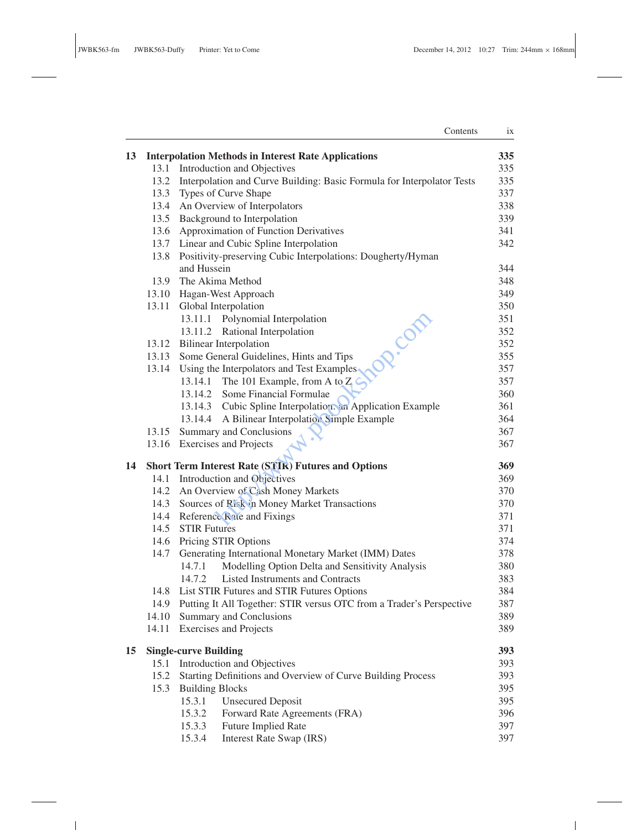$\sim$  100  $\pm$ 

 $\mathbf{1}$  and  $\mathbf{1}$ 

|    |       | Contents                                                               | ix  |
|----|-------|------------------------------------------------------------------------|-----|
| 13 |       | <b>Interpolation Methods in Interest Rate Applications</b>             | 335 |
|    |       | 13.1 Introduction and Objectives                                       | 335 |
|    | 13.2  | Interpolation and Curve Building: Basic Formula for Interpolator Tests | 335 |
|    |       | 13.3 Types of Curve Shape                                              | 337 |
|    | 13.4  | An Overview of Interpolators                                           | 338 |
|    | 13.5  | Background to Interpolation                                            | 339 |
|    | 13.6  | <b>Approximation of Function Derivatives</b>                           | 341 |
|    |       | 13.7 Linear and Cubic Spline Interpolation                             | 342 |
|    | 13.8  | Positivity-preserving Cubic Interpolations: Dougherty/Hyman            |     |
|    |       | and Hussein                                                            | 344 |
|    | 13.9  | The Akima Method                                                       | 348 |
|    |       | 13.10 Hagan-West Approach                                              | 349 |
|    |       | 13.11 Global Interpolation                                             | 350 |
|    |       | 13.11.1 Polynomial Interpolation<br><b>OR.Com</b>                      | 351 |
|    |       | 13.11.2 Rational Interpolation                                         | 352 |
|    |       | 13.12 Bilinear Interpolation                                           | 352 |
|    |       | 13.13 Some General Guidelines, Hints and Tips                          | 355 |
|    | 13.14 | Using the Interpolators and Test Examples.                             | 357 |
|    |       | 13.14.1 The 101 Example, from A to $Z \subset$                         | 357 |
|    |       | 13.14.2 Some Financial Formulae                                        | 360 |
|    |       | 13.14.3 Cubic Spline Interpolation. an Application Example             | 361 |
|    |       | 13.14.4 A Bilinear Interpolation Simple Example                        | 364 |
|    | 13.15 | Summary and Conclusions                                                | 367 |
|    |       | 13.16 Exercises and Projects                                           | 367 |
| 14 |       | <b>Short Term Interest Rate (STIR) Futures and Options</b>             | 369 |
|    |       | 14.1 Introduction and Objectives                                       | 369 |
|    |       | 14.2 An Overview of Cash Money Markets                                 | 370 |
|    | 14.3  | Sources of Rick in Money Market Transactions                           | 370 |
|    | 14.4  | Reference Rate and Fixings                                             | 371 |
|    | 14.5  | <b>STIR Futures</b>                                                    | 371 |
|    | 14.6  | <b>Pricing STIR Options</b>                                            | 374 |
|    | 14.7  | Generating International Monetary Market (IMM) Dates                   | 378 |
|    |       | Modelling Option Delta and Sensitivity Analysis<br>14.7.1              | 380 |
|    |       | <b>Listed Instruments and Contracts</b><br>14.7.2                      | 383 |
|    | 14.8  | List STIR Futures and STIR Futures Options                             | 384 |
|    | 14.9  | Putting It All Together: STIR versus OTC from a Trader's Perspective   | 387 |
|    | 14.10 | <b>Summary and Conclusions</b>                                         | 389 |
|    | 14.11 | <b>Exercises and Projects</b>                                          | 389 |
| 15 |       | <b>Single-curve Building</b>                                           | 393 |
|    | 15.1  | Introduction and Objectives                                            | 393 |
|    | 15.2  | Starting Definitions and Overview of Curve Building Process            | 393 |
|    | 15.3  | <b>Building Blocks</b>                                                 | 395 |
|    |       | <b>Unsecured Deposit</b><br>15.3.1                                     | 395 |
|    |       | 15.3.2<br>Forward Rate Agreements (FRA)                                | 396 |
|    |       | <b>Future Implied Rate</b><br>15.3.3                                   | 397 |
|    |       | 15.3.4<br>Interest Rate Swap (IRS)                                     | 397 |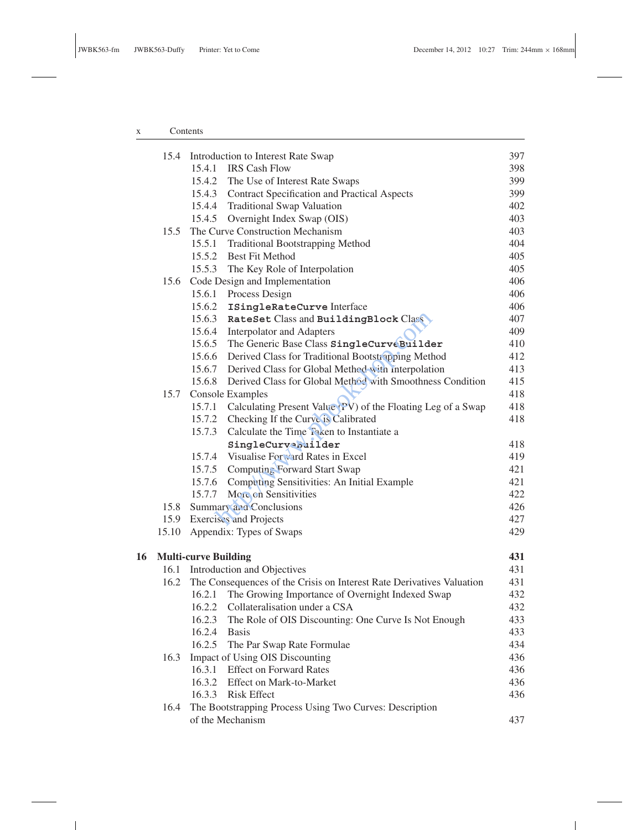# x Contents

 $\sim 10^{-1}$ 

|    | 15.4  |                             | Introduction to Interest Rate Swap                                    | 397 |
|----|-------|-----------------------------|-----------------------------------------------------------------------|-----|
|    |       |                             | 15.4.1 IRS Cash Flow                                                  | 398 |
|    |       |                             | 15.4.2 The Use of Interest Rate Swaps                                 | 399 |
|    |       |                             | 15.4.3 Contract Specification and Practical Aspects                   | 399 |
|    |       |                             | 15.4.4 Traditional Swap Valuation                                     | 402 |
|    |       | 15.4.5                      | Overnight Index Swap (OIS)                                            | 403 |
|    | 15.5  |                             | The Curve Construction Mechanism                                      | 403 |
|    |       | 15.5.1                      | <b>Traditional Bootstrapping Method</b>                               | 404 |
|    |       |                             | 15.5.2 Best Fit Method                                                | 405 |
|    |       |                             | 15.5.3 The Key Role of Interpolation                                  | 405 |
|    | 15.6  |                             | Code Design and Implementation                                        | 406 |
|    |       |                             | 15.6.1 Process Design                                                 | 406 |
|    |       |                             | 15.6.2 ISingleRateCurve Interface                                     | 406 |
|    |       | 15.6.3                      | RateSet Class and BuildingBlock Class                                 | 407 |
|    |       | 15.6.4                      | <b>Interpolator and Adapters</b>                                      | 409 |
|    |       | 15.6.5                      | The Generic Base Class SingleCurveBuilder                             | 410 |
|    |       | 15.6.6                      | Derived Class for Traditional Bootstrapping Method                    | 412 |
|    |       |                             | 15.6.7 Derived Class for Global Method with interpolation             | 413 |
|    |       | 15.6.8                      | Derived Class for Global Method with Smoothness Condition             | 415 |
|    | 15.7  |                             | <b>Console Examples</b>                                               | 418 |
|    |       |                             | 15.7.1 Calculating Present Value (PV) of the Floating Leg of a Swap   | 418 |
|    |       |                             | 15.7.2 Checking If the Curve is Calibrated                            | 418 |
|    |       |                             | 15.7.3 Calculate the Time Taken to Instantiate a                      |     |
|    |       |                             | SingleCurveBuilder                                                    | 418 |
|    |       |                             | 15.7.4 Visualise Forward Rates in Excel                               | 419 |
|    |       |                             | 15.7.5 Computing Forward Start Swap                                   | 421 |
|    |       |                             | 15.7.6 Computing Sensitivities: An Initial Example                    | 421 |
|    |       |                             | 15.7.7 More on Sensitivities                                          | 422 |
|    | 15.8  |                             | Summary and Conclusions                                               | 426 |
|    | 15.9  |                             | <b>Exercises</b> and Projects                                         | 427 |
|    | 15.10 |                             | Appendix: Types of Swaps                                              | 429 |
| 16 |       | <b>Multi-curve Building</b> |                                                                       | 431 |
|    | 16.1  |                             | Introduction and Objectives                                           | 431 |
|    | 16.2  |                             | The Consequences of the Crisis on Interest Rate Derivatives Valuation | 431 |
|    |       | 16.2.1                      | The Growing Importance of Overnight Indexed Swap                      | 432 |
|    |       | 16.2.2                      | Collateralisation under a CSA                                         | 432 |
|    |       |                             | 16.2.3 The Role of OIS Discounting: One Curve Is Not Enough           | 433 |
|    |       | 16.2.4                      | <b>Basis</b>                                                          | 433 |
|    |       | 16.2.5                      | The Par Swap Rate Formulae                                            | 434 |
|    | 16.3  |                             | Impact of Using OIS Discounting                                       | 436 |
|    |       | 16.3.1                      | <b>Effect on Forward Rates</b>                                        | 436 |
|    |       | 16.3.2                      | Effect on Mark-to-Market                                              | 436 |
|    |       | 16.3.3                      | <b>Risk Effect</b>                                                    | 436 |
|    | 16.4  |                             | The Bootstrapping Process Using Two Curves: Description               |     |
|    |       |                             | of the Mechanism                                                      | 437 |
|    |       |                             |                                                                       |     |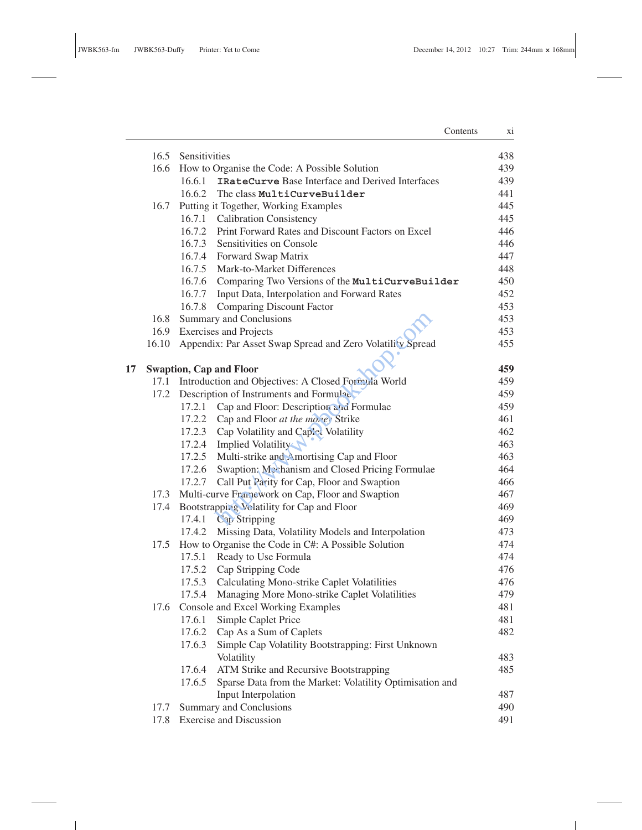$\mathbb{R}^n \times \mathbb{R}^n$ 

Contents xi

|    |               | 16.5 Sensitivities                                                                          | 438        |
|----|---------------|---------------------------------------------------------------------------------------------|------------|
|    |               | 16.6 How to Organise the Code: A Possible Solution                                          | 439        |
|    |               | IRateCurve Base Interface and Derived Interfaces<br>16.6.1                                  | 439        |
|    |               | 16.6.2 The class MultiCurveBuilder                                                          | 441        |
|    | 16.7          | Putting it Together, Working Examples                                                       | 445        |
|    |               | 16.7.1 Calibration Consistency                                                              | 445        |
|    |               | 16.7.2 Print Forward Rates and Discount Factors on Excel                                    | 446        |
|    |               | 16.7.3 Sensitivities on Console                                                             | 446        |
|    |               | 16.7.4 Forward Swap Matrix                                                                  | 447        |
|    |               | 16.7.5 Mark-to-Market Differences                                                           | 448        |
|    |               | 16.7.6 Comparing Two Versions of the MultiCurveBuilder                                      | 450        |
|    |               | 16.7.7 Input Data, Interpolation and Forward Rates                                          | 452        |
|    |               | 16.7.8 Comparing Discount Factor                                                            | 453<br>453 |
|    | 16.8          | Summary and Conclusions                                                                     | 453        |
|    | 16.9<br>16.10 | <b>Exercises and Projects</b><br>Appendix: Par Asset Swap Spread and Zero Volatility Spread | 455        |
|    |               |                                                                                             |            |
| 17 |               | <b>Swaption, Cap and Floor</b>                                                              | 459        |
|    | 17.1          | Introduction and Objectives: A Closed Formula World                                         | 459        |
|    | 17.2          | Description of Instruments and Formulae                                                     | 459        |
|    |               | 17.2.1 Cap and Floor: Description and Formulae                                              | 459        |
|    |               | 17.2.2 Cap and Floor at the morey Strike                                                    | 461        |
|    |               | 17.2.3 Cap Volatility and Caplet Volatility                                                 | 462        |
|    |               | 17.2.4 Implied Volatility                                                                   | 463        |
|    |               | 17.2.5 Multi-strike and Amortising Cap and Floor                                            | 463        |
|    |               | 17.2.6 Swaption: Mechanism and Closed Pricing Formulae                                      | 464        |
|    |               | 17.2.7 Call Put Parity for Cap, Floor and Swaption                                          | 466        |
|    | 17.3          | Multi-curve Francwork on Cap, Floor and Swaption                                            | 467        |
|    | 17.4          | Bootstrapping Velatility for Cap and Floor                                                  | 469        |
|    |               | 17.4.1 Cap Stripping                                                                        | 469        |
|    |               | 17.4.2 Missing Data, Volatility Models and Interpolation                                    | 473        |
|    | 17.5          | How to Organise the Code in C#: A Possible Solution                                         | 474        |
|    |               | 17.5.1 Ready to Use Formula                                                                 | 474        |
|    |               | 17.5.2 Cap Stripping Code                                                                   | 476        |
|    |               | 17.5.3 Calculating Mono-strike Caplet Volatilities                                          | 476        |
|    |               | 17.5.4 Managing More Mono-strike Caplet Volatilities                                        | 479        |
|    |               | 17.6 Console and Excel Working Examples                                                     | 481        |
|    |               | 17.6.1<br>Simple Caplet Price                                                               | 481        |
|    |               | 17.6.2<br>Cap As a Sum of Caplets                                                           | 482        |
|    |               | Simple Cap Volatility Bootstrapping: First Unknown<br>17.6.3<br>Volatility                  | 483        |
|    |               | 17.6.4<br>ATM Strike and Recursive Bootstrapping                                            | 485        |
|    |               | Sparse Data from the Market: Volatility Optimisation and<br>17.6.5                          |            |
|    |               | Input Interpolation                                                                         | 487        |
|    | 17.7          | <b>Summary and Conclusions</b>                                                              | 490        |
|    | 17.8          | <b>Exercise and Discussion</b>                                                              | 491        |
|    |               |                                                                                             |            |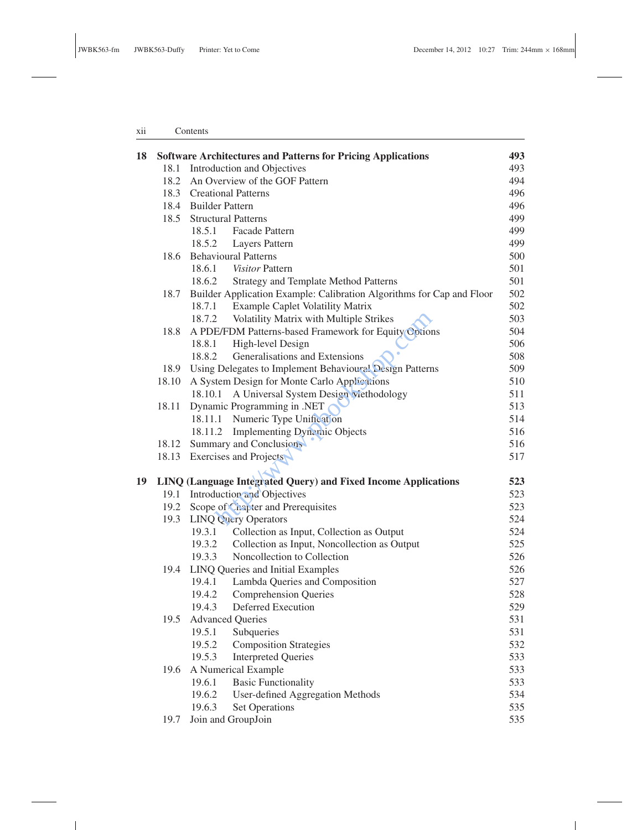## xii Contents

| 18 |       | <b>Software Architectures and Patterns for Pricing Applications</b>   | 493 |
|----|-------|-----------------------------------------------------------------------|-----|
|    | 18.1  | Introduction and Objectives                                           | 493 |
|    | 18.2  | An Overview of the GOF Pattern                                        | 494 |
|    |       | 18.3 Creational Patterns                                              | 496 |
|    | 18.4  | <b>Builder Pattern</b>                                                | 496 |
|    | 18.5  | <b>Structural Patterns</b>                                            | 499 |
|    |       | 18.5.1 Facade Pattern                                                 | 499 |
|    |       | 18.5.2<br>Layers Pattern                                              | 499 |
|    | 18.6  | <b>Behavioural Patterns</b>                                           | 500 |
|    |       | 18.6.1 Visitor Pattern                                                | 501 |
|    |       | 18.6.2<br><b>Strategy and Template Method Patterns</b>                | 501 |
|    | 18.7  | Builder Application Example: Calibration Algorithms for Cap and Floor | 502 |
|    |       | <b>Example Caplet Volatility Matrix</b><br>18.7.1                     | 502 |
|    |       | Volatility Matrix with Multiple Strikes<br>18.7.2                     | 503 |
|    | 18.8  | A PDE/FDM Patterns-based Framework for Equity Options                 | 504 |
|    |       | High-level Design<br>18.8.1                                           | 506 |
|    |       | Generalisations and Extensions<br>18.8.2                              | 508 |
|    | 18.9  | Using Delegates to Implement Behavioural Design Patterns              | 509 |
|    | 18.10 | A System Design for Monte Carlo Applications                          | 510 |
|    |       | A Universal System Design viethodology<br>18.10.1                     | 511 |
|    | 18.11 | Dynamic Programming in .NET                                           | 513 |
|    |       | Numeric Type Unification<br>18.11.1                                   | 514 |
|    |       | <b>Implementing Dynamic Objects</b><br>18.11.2                        | 516 |
|    | 18.12 | Summary and Conclusions                                               | 516 |
|    | 18.13 | Exercises and Projects                                                | 517 |
|    |       |                                                                       |     |
| 19 |       | LINQ (Language Integrated Query) and Fixed Income Applications        | 523 |
|    | 19.1  | Introduction and Objectives                                           | 523 |
|    | 19.2  | Scope of Chapter and Prerequisites                                    | 523 |
|    | 19.3  | <b>LINQ Query Operators</b>                                           | 524 |
|    |       | 19.3.1<br>Collection as Input, Collection as Output                   | 524 |
|    |       | Collection as Input, Noncollection as Output<br>19.3.2                | 525 |
|    |       | Noncollection to Collection<br>19.3.3                                 | 526 |
|    | 19.4  | LINQ Queries and Initial Examples                                     | 526 |
|    |       | 19.4.1<br>Lambda Queries and Composition                              | 527 |
|    |       | <b>Comprehension Queries</b><br>19.4.2                                | 528 |
|    |       | Deferred Execution<br>19.4.3                                          | 529 |
|    |       | 19.5 Advanced Queries                                                 | 531 |
|    |       | 19.5.1<br>Subqueries                                                  | 531 |
|    |       | <b>Composition Strategies</b><br>19.5.2                               | 532 |
|    |       | <b>Interpreted Queries</b><br>19.5.3                                  | 533 |
|    | 19.6  | A Numerical Example                                                   | 533 |
|    |       | 19.6.1<br><b>Basic Functionality</b>                                  | 533 |
|    |       | 19.6.2<br>User-defined Aggregation Methods                            | 534 |
|    |       | 19.6.3<br><b>Set Operations</b>                                       | 535 |
|    | 19.7  | Join and GroupJoin                                                    | 535 |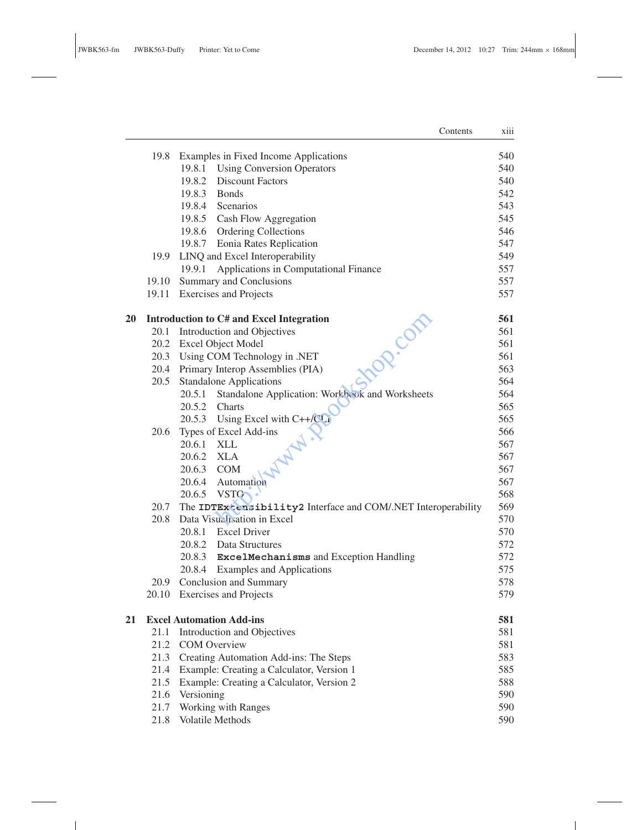|           |       | Contents                                                       | xiii |
|-----------|-------|----------------------------------------------------------------|------|
|           | 19.8  | Examples in Fixed Income Applications                          | 540  |
|           |       | 19.8.1 Using Conversion Operators                              | 540  |
|           |       | 19.8.2 Discount Factors                                        | 540  |
|           |       | 19.8.3 Bonds                                                   | 542  |
|           |       | 19.8.4 Scenarios                                               | 543  |
|           |       | 19.8.5 Cash Flow Aggregation                                   | 545  |
|           |       | 19.8.6 Ordering Collections                                    | 546  |
|           |       | 19.8.7 Eonia Rates Replication                                 | 547  |
|           | 19.9  | LINQ and Excel Interoperability                                | 549  |
|           |       | Applications in Computational Finance<br>19.9.1                | 557  |
|           | 19.10 | Summary and Conclusions                                        | 557  |
|           | 19.11 | <b>Exercises and Projects</b>                                  | 557  |
| <b>20</b> |       | Introduction to C# and Excel Integration<br><b>POR.</b> COM    | 561  |
|           |       | 20.1 Introduction and Objectives                               | 561  |
|           |       | 20.2 Excel Object Model                                        | 561  |
|           | 20.3  | Using COM Technology in .NET                                   | 561  |
|           | 20.4  | Primary Interop Assemblies (PIA)                               | 563  |
|           | 20.5  | <b>Standalone Applications</b>                                 | 564  |
|           |       | Standalone Application: Workbeck and Worksheets<br>20.5.1      | 564  |
|           |       | 20.5.2<br>Charts                                               | 565  |
|           |       | 20.5.3 Using Excel with $C++/C$                                | 565  |
|           | 20.6  | Types of Excel Add-ins                                         | 566  |
|           |       | 20.6.1 XLL                                                     | 567  |
|           |       | 20.6.2 XLA                                                     | 567  |
|           |       | 20.6.3 COM                                                     | 567  |
|           |       | 20.6.4 Automation                                              | 567  |
|           |       | 20.6.5 VSTO                                                    | 568  |
|           | 20.7  | The IDTEx censibility2 Interface and COM/.NET Interoperability | 569  |
|           | 20.8  | Data Visualisation in Excel                                    | 570  |
|           |       | 20.8.1 Excel Driver                                            | 570  |
|           |       | 20.8.2 Data Structures                                         | 572  |
|           |       | 20.8.3 ExcelMechanisms and Exception Handling                  | 572  |
|           |       | 20.8.4 Examples and Applications                               | 575  |
|           | 20.9  | Conclusion and Summary                                         | 578  |
|           |       | 20.10 Exercises and Projects                                   | 579  |
| 21        |       | <b>Excel Automation Add-ins</b>                                | 581  |
|           | 21.1  | Introduction and Objectives                                    | 581  |
|           | 21.2  | <b>COM</b> Overview                                            | 581  |
|           | 21.3  | Creating Automation Add-ins: The Steps                         | 583  |
|           | 21.4  | Example: Creating a Calculator, Version 1                      | 585  |
|           | 21.5  | Example: Creating a Calculator, Version 2                      | 588  |
|           | 21.6  | Versioning                                                     | 590  |
|           | 21.7  | Working with Ranges                                            | 590  |
|           | 21.8  | Volatile Methods                                               | 590  |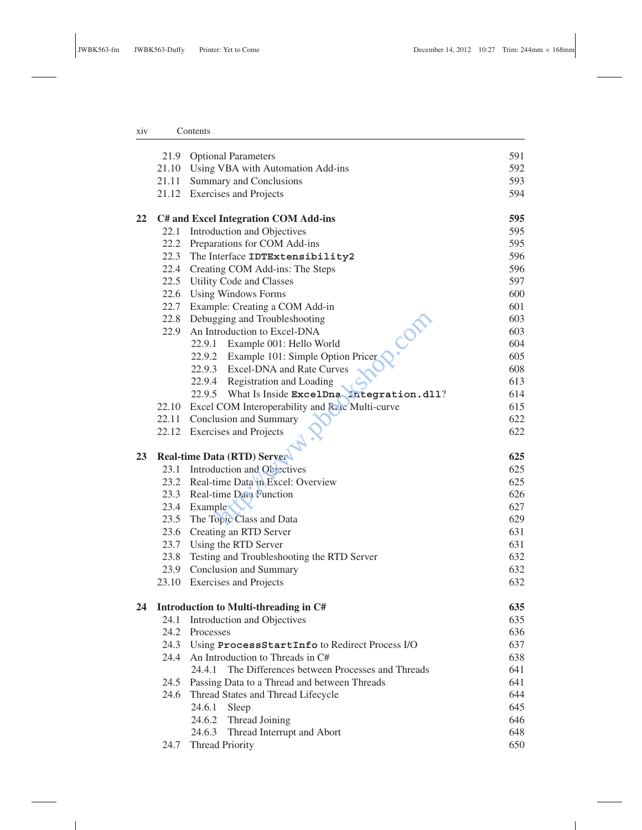# xiv Contents

 $\sim 10^{-1}$ 

|    |      | 21.9 Optional Parameters                                | 591 |
|----|------|---------------------------------------------------------|-----|
|    |      | 21.10 Using VBA with Automation Add-ins                 | 592 |
|    |      | 21.11 Summary and Conclusions                           | 593 |
|    |      | 21.12 Exercises and Projects                            | 594 |
| 22 |      | C# and Excel Integration COM Add-ins                    | 595 |
|    |      | 22.1 Introduction and Objectives                        | 595 |
|    |      | 22.2 Preparations for COM Add-ins                       | 595 |
|    |      | 22.3 The Interface IDTExtensibility2                    | 596 |
|    |      | 22.4 Creating COM Add-ins: The Steps                    | 596 |
|    |      | 22.5 Utility Code and Classes                           | 597 |
|    |      | 22.6 Using Windows Forms                                | 600 |
|    |      | 22.7 Example: Creating a COM Add-in                     | 601 |
|    |      | 22.8 Debugging and Troubleshooting                      | 603 |
|    | 22.9 | An Introduction to Excel-DNA                            | 603 |
|    |      | COR<br>22.9.1 Example 001: Hello World                  | 604 |
|    |      | 22.9.2 Example 101: Simple Option Pricer                | 605 |
|    |      | 22.9.3 Excel-DNA and Rate Curves                        | 608 |
|    |      | 22.9.4 Registration and Loading                         | 613 |
|    |      | 22.9.5 What Is Inside ExcelDna Integration.dll?         | 614 |
|    |      | 22.10 Excel COM Interoperability and Rate Multi-curve   | 615 |
|    |      | 22.11 Conclusion and Summary                            | 622 |
|    |      | 22.12 Exercises and Projects                            | 622 |
| 23 |      | <b>Real-time Data (RTD) Server</b>                      | 625 |
|    |      | 23.1 Introduction and Objectives                        | 625 |
|    |      | 23.2 Real-time Data in Excel: Overview                  | 625 |
|    |      | 23.3 Real-time Data Function                            | 626 |
|    |      | 23.4 Example                                            | 627 |
|    |      | 23.5 The Topic Class and Data                           | 629 |
|    |      | 23.6 Creating an RTD Server                             | 631 |
|    |      | 23.7 Using the RTD Server                               | 631 |
|    | 23.8 | Testing and Troubleshooting the RTD Server              | 632 |
|    |      | 23.9 Conclusion and Summary                             | 632 |
|    |      | 23.10 Exercises and Projects                            | 632 |
| 24 |      | Introduction to Multi-threading in C#                   | 635 |
|    |      | 24.1 Introduction and Objectives                        | 635 |
|    |      | 24.2 Processes                                          | 636 |
|    | 24.3 | Using ProcessStartInfo to Redirect Process I/O          | 637 |
|    | 24.4 | An Introduction to Threads in C#                        | 638 |
|    |      | The Differences between Processes and Threads<br>24.4.1 | 641 |
|    | 24.5 | Passing Data to a Thread and between Threads            | 641 |
|    | 24.6 | Thread States and Thread Lifecycle                      | 644 |
|    |      | 24.6.1 Sleep                                            | 645 |
|    |      | 24.6.2 Thread Joining                                   | 646 |
|    |      | 24.6.3 Thread Interrupt and Abort                       |     |
|    |      | <b>Thread Priority</b>                                  | 648 |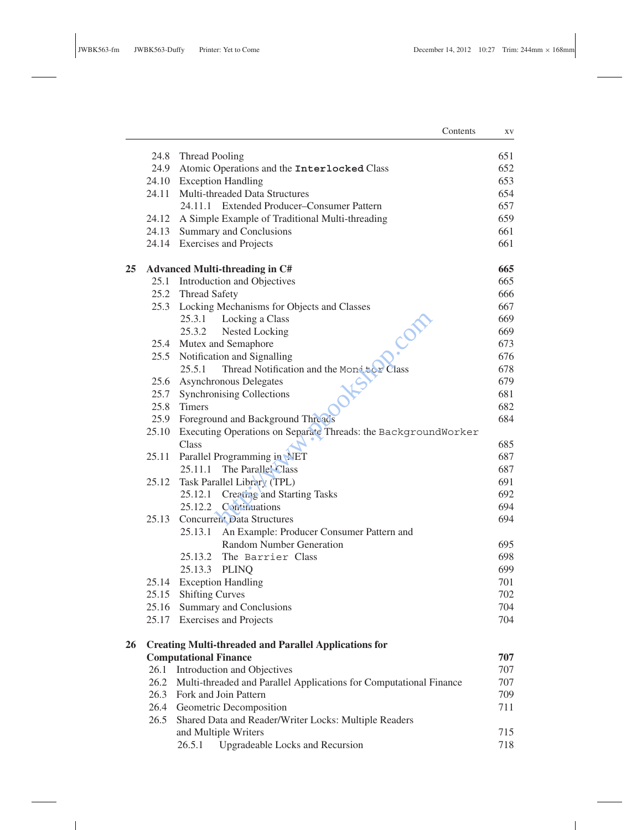**Contract Contract** 

|    |                                                              | Contents                                                                | ΧV  |  |  |
|----|--------------------------------------------------------------|-------------------------------------------------------------------------|-----|--|--|
|    | 24.8                                                         | Thread Pooling                                                          | 651 |  |  |
|    | 24.9                                                         | Atomic Operations and the Interlocked Class                             | 652 |  |  |
|    |                                                              | 24.10 Exception Handling                                                | 653 |  |  |
|    | 24.11                                                        | Multi-threaded Data Structures                                          | 654 |  |  |
|    |                                                              | 24.11.1 Extended Producer-Consumer Pattern                              | 657 |  |  |
|    |                                                              | 24.12 A Simple Example of Traditional Multi-threading                   | 659 |  |  |
|    |                                                              | 24.13 Summary and Conclusions                                           | 661 |  |  |
|    |                                                              | 24.14 Exercises and Projects                                            | 661 |  |  |
| 25 |                                                              | <b>Advanced Multi-threading in C#</b>                                   | 665 |  |  |
|    |                                                              | 25.1 Introduction and Objectives                                        | 665 |  |  |
|    |                                                              | 25.2 Thread Safety                                                      | 666 |  |  |
|    |                                                              | 25.3 Locking Mechanisms for Objects and Classes                         | 667 |  |  |
|    |                                                              | 25.3.1<br>Locking a Class<br>CODE                                       | 669 |  |  |
|    |                                                              | Nested Locking<br>25.3.2                                                | 669 |  |  |
|    |                                                              | 25.4 Mutex and Semaphore                                                | 673 |  |  |
|    |                                                              | 25.5 Notification and Signalling                                        | 676 |  |  |
|    |                                                              | Thread Notification and the Mond tor Class<br>25.5.1                    | 678 |  |  |
|    |                                                              | 25.6 Asynchronous Delegates                                             | 679 |  |  |
|    |                                                              | 25.7 Synchronising Collections                                          | 681 |  |  |
|    | 25.8                                                         | <b>Timers</b>                                                           | 682 |  |  |
|    | 25.9                                                         | Foreground and Background Threads                                       | 684 |  |  |
|    | 25.10                                                        | Executing Operations on Separate Threads: the BackgroundWorker          |     |  |  |
|    |                                                              | Class                                                                   | 685 |  |  |
|    | 25.11                                                        | Parallel Programming in NET                                             | 687 |  |  |
|    |                                                              | 25.11.1 The Parallel Class                                              | 687 |  |  |
|    | 25.12                                                        | Task Parallel Library (TPL)                                             | 691 |  |  |
|    |                                                              | Creating and Starting Tasks<br>25.12.1                                  | 692 |  |  |
|    |                                                              | 25.12.2 Continuations                                                   | 694 |  |  |
|    | 25.13                                                        | <b>Concurrent Data Structures</b>                                       | 694 |  |  |
|    |                                                              | 25.13.1<br>An Example: Producer Consumer Pattern and                    |     |  |  |
|    |                                                              | <b>Random Number Generation</b>                                         | 695 |  |  |
|    |                                                              | 25.13.2 The Barrier Class                                               | 698 |  |  |
|    |                                                              | 25.13.3 PLINQ                                                           | 699 |  |  |
|    |                                                              | 25.14 Exception Handling                                                | 701 |  |  |
|    |                                                              | 25.15 Shifting Curves                                                   | 702 |  |  |
|    |                                                              | 25.16 Summary and Conclusions                                           | 704 |  |  |
|    |                                                              | 25.17 Exercises and Projects                                            | 704 |  |  |
| 26 | <b>Creating Multi-threaded and Parallel Applications for</b> |                                                                         |     |  |  |
|    |                                                              | <b>Computational Finance</b>                                            | 707 |  |  |
|    |                                                              | 26.1 Introduction and Objectives                                        | 707 |  |  |
|    |                                                              | 26.2 Multi-threaded and Parallel Applications for Computational Finance | 707 |  |  |
|    |                                                              | 26.3 Fork and Join Pattern                                              | 709 |  |  |
|    |                                                              | 26.4 Geometric Decomposition                                            | 711 |  |  |
|    |                                                              | 26.5 Shared Data and Reader/Writer Locks: Multiple Readers              |     |  |  |
|    |                                                              | and Multiple Writers                                                    | 715 |  |  |
|    |                                                              | 26.5.1<br>Upgradeable Locks and Recursion                               | 718 |  |  |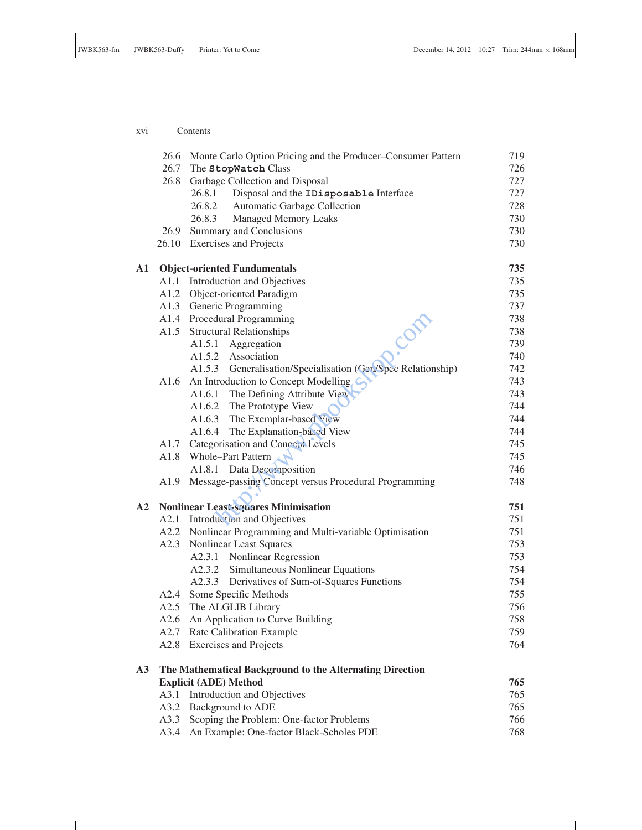## xvi Contents

|               |      | 26.6 Monte Carlo Option Pricing and the Producer–Consumer Pattern | 719 |
|---------------|------|-------------------------------------------------------------------|-----|
|               |      | 26.7 The StopWatch Class                                          | 726 |
|               | 26.8 | Garbage Collection and Disposal                                   | 727 |
|               |      | Disposal and the IDisposable Interface<br>26.8.1                  | 727 |
|               |      | 26.8.2 Automatic Garbage Collection                               | 728 |
|               |      | 26.8.3 Managed Memory Leaks                                       | 730 |
|               |      | 26.9 Summary and Conclusions                                      | 730 |
|               |      | 26.10 Exercises and Projects                                      | 730 |
| A1            |      | <b>Object-oriented Fundamentals</b>                               | 735 |
|               |      | A1.1 Introduction and Objectives                                  | 735 |
|               |      | A1.2 Object-oriented Paradigm                                     | 735 |
|               |      | A1.3 Generic Programming                                          | 737 |
|               |      | A1.4 Procedural Programming<br>COR                                | 738 |
|               |      | A1.5 Structural Relationships                                     | 738 |
|               |      | A1.5.1 Aggregation                                                | 739 |
|               |      | A1.5.2 Association                                                | 740 |
|               |      | A1.5.3 Generalisation/Specialisation (Gen/Spec Relationship)      | 742 |
|               | A1.6 | An Introduction to Concept Modelling                              | 743 |
|               |      | A1.6.1 The Defining Attribute View                                | 743 |
|               |      | A1.6.2 The Prototype View                                         | 744 |
|               |      | A1.6.3 The Exemplar-based View                                    | 744 |
|               |      | A1.6.4 The Explanation-based View                                 | 744 |
|               |      | A1.7 Categorisation and Concept Levels                            | 745 |
|               | A1.8 | Whole-Part Pattern                                                | 745 |
|               |      | A1.8.1 Data Decomposition                                         | 746 |
|               |      | A1.9 Message-passing Concept versus Procedural Programming        | 748 |
| $\mathbf{A2}$ |      | <b>Nonlinear Least-squares Minimisation</b>                       | 751 |
|               |      | A2.1 Introduction and Objectives                                  | 751 |
|               |      | A2.2 Nonlinear Programming and Multi-variable Optimisation        | 751 |
|               | A2.3 | Nonlinear Least Squares                                           | 753 |
|               |      | A2.3.1 Nonlinear Regression                                       | 753 |
|               |      | A2.3.2 Simultaneous Nonlinear Equations                           | 754 |
|               |      | A2.3.3 Derivatives of Sum-of-Squares Functions                    | 754 |
|               |      | A2.4 Some Specific Methods                                        | 755 |
|               |      | A2.5 The ALGLIB Library                                           | 756 |
|               |      |                                                                   | 758 |
|               |      | A2.6 An Application to Curve Building                             |     |
|               |      | A2.7 Rate Calibration Example                                     | 759 |
|               | A2.8 | <b>Exercises and Projects</b>                                     | 764 |
| A3            |      | The Mathematical Background to the Alternating Direction          |     |
|               |      | <b>Explicit (ADE) Method</b>                                      | 765 |
|               | A3.1 | Introduction and Objectives                                       | 765 |
|               | A3.2 | <b>Background to ADE</b>                                          | 765 |
|               | A3.3 | Scoping the Problem: One-factor Problems                          | 766 |
|               | A3.4 | An Example: One-factor Black-Scholes PDE                          | 768 |